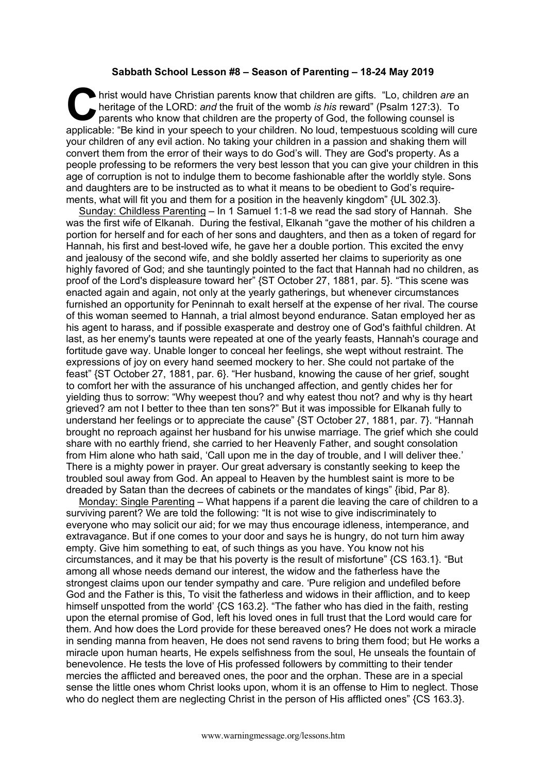## **Sabbath School Lesson #8 – Season of Parenting – 18-24 May 2019**

hrist would have Christian parents know that children are gifts. "Lo, children *are* an heritage of the LORD: *and* the fruit of the womb *is his reward*" (Psalm 127:3). To parents who know that children are the property o heritage of the LORD: *and* the fruit of the womb *is his* reward" (Psalm 127:3). To parents who know that children are the property of God, the following counsel is applicable: "Be kind in your speech to your children. No loud, tempestuous scolding will cure your children of any evil action. No taking your children in a passion and shaking them will convert them from the error of their ways to do God's will. They are God's property. As a people professing to be reformers the very best lesson that you can give your children in this age of corruption is not to indulge them to become fashionable after the worldly style. Sons and daughters are to be instructed as to what it means to be obedient to God's requirements, what will fit you and them for a position in the heavenly kingdom" {UL 302.3}.

Sunday: Childless Parenting – In 1 Samuel 1:1-8 we read the sad story of Hannah. She was the first wife of Elkanah. During the festival, Elkanah "gave the mother of his children a portion for herself and for each of her sons and daughters, and then as a token of regard for Hannah, his first and best-loved wife, he gave her a double portion. This excited the envy and jealousy of the second wife, and she boldly asserted her claims to superiority as one highly favored of God; and she tauntingly pointed to the fact that Hannah had no children, as proof of the Lord's displeasure toward her" {ST October 27, 1881, par. 5}. "This scene was enacted again and again, not only at the yearly gatherings, but whenever circumstances furnished an opportunity for Peninnah to exalt herself at the expense of her rival. The course of this woman seemed to Hannah, a trial almost beyond endurance. Satan employed her as his agent to harass, and if possible exasperate and destroy one of God's faithful children. At last, as her enemy's taunts were repeated at one of the yearly feasts, Hannah's courage and fortitude gave way. Unable longer to conceal her feelings, she wept without restraint. The expressions of joy on every hand seemed mockery to her. She could not partake of the feast" {ST October 27, 1881, par. 6}. "Her husband, knowing the cause of her grief, sought to comfort her with the assurance of his unchanged affection, and gently chides her for yielding thus to sorrow: "Why weepest thou? and why eatest thou not? and why is thy heart grieved? am not I better to thee than ten sons?" But it was impossible for Elkanah fully to understand her feelings or to appreciate the cause" {ST October 27, 1881, par. 7}. "Hannah brought no reproach against her husband for his unwise marriage. The grief which she could share with no earthly friend, she carried to her Heavenly Father, and sought consolation from Him alone who hath said, 'Call upon me in the day of trouble, and I will deliver thee.' There is a mighty power in prayer. Our great adversary is constantly seeking to keep the troubled soul away from God. An appeal to Heaven by the humblest saint is more to be dreaded by Satan than the decrees of cabinets or the mandates of kings" {ibid, Par 8}.

Monday: Single Parenting – What happens if a parent die leaving the care of children to a surviving parent? We are told the following: "It is not wise to give indiscriminately to everyone who may solicit our aid; for we may thus encourage idleness, intemperance, and extravagance. But if one comes to your door and says he is hungry, do not turn him away empty. Give him something to eat, of such things as you have. You know not his circumstances, and it may be that his poverty is the result of misfortune" {CS 163.1}. "But among all whose needs demand our interest, the widow and the fatherless have the strongest claims upon our tender sympathy and care. 'Pure religion and undefiled before God and the Father is this, To visit the fatherless and widows in their affliction, and to keep himself unspotted from the world' {CS 163.2}. "The father who has died in the faith, resting upon the eternal promise of God, left his loved ones in full trust that the Lord would care for them. And how does the Lord provide for these bereaved ones? He does not work a miracle in sending manna from heaven, He does not send ravens to bring them food; but He works a miracle upon human hearts, He expels selfishness from the soul, He unseals the fountain of benevolence. He tests the love of His professed followers by committing to their tender mercies the afflicted and bereaved ones, the poor and the orphan. These are in a special sense the little ones whom Christ looks upon, whom it is an offense to Him to neglect. Those who do neglect them are neglecting Christ in the person of His afflicted ones" {CS 163.3}.